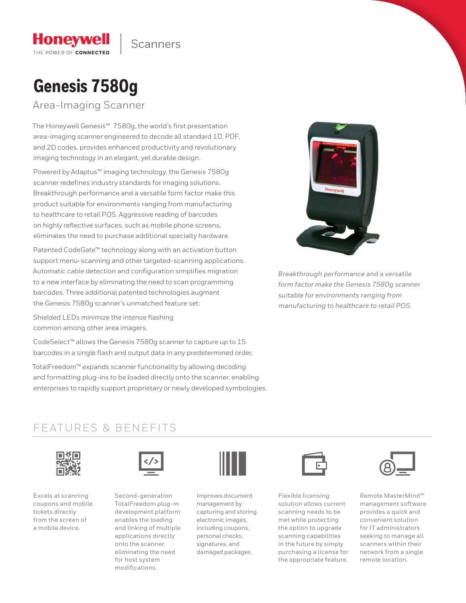

# **Genesis 7580g**

**Honeywell** THE POWER OF CONNECTED

Area-Imaging Scanner

The Honeywell Genesis™ 7580g, the world's first presentation area-imaging scanner engineered to decode all standard 1D, PDF, and 2D codes, provides enhanced productivity and revolutionary imaging technology in an elegant, yet durable design.

Powered by Adaptus™ imaging technology, the Genesis 7580g scanner redefines industry standards for imaging solutions. Breakthrough performance and a versatile form factor make this product suitable for environments ranging from manufacturing to healthcare to retail POS. Aggressive reading of barcodes on highly reflective surfaces, such as mobile phone screens, eliminates the need to purchase additional specialty hardware.

Patented CodeGate™ technology along with an activation button support menu-scanning and other targeted-scanning applications. Automatic cable detection and configuration simplifies migration to a new interface by eliminating the need to scan programming barcodes. Three additional patented technologies augment the Genesis 7580g scanner's unmatched feature set:

Shielded LEDs minimize the intense flashing common among other area imagers.

CodeSelect™ allows the Genesis 7580g scanner to capture up to 15 barcodes in a single flash and output data in any predetermined order.

TotalFreedom™ expands scanner functionality by allowing decoding and formatting plug-ins to be loaded directly onto the scanner, enabling enterprises to rapidly support proprietary or newly developed symbologies.



*Breakthrough performance and a versatile form factor make the Genesis 7580g scanner suitable for environments ranging from manufacturing to healthcare to retail POS.*

### FEATURES & BENEFITS



Excels at scanning coupons and mobile tickets directly from the screen of a mobile device.



Second-generation TotalFreedom plug-in development platform enables the loading and linking of multiple applications directly onto the scanner, eliminating the need for host system modifications.



Improves document management by capturing and storing electronic images, including coupons, personal checks, signatures, and damaged packages.



Flexible licensing solution allows current scanning needs to be met while protecting the option to upgrade scanning capabilities in the future by simply purchasing a license for the appropriate feature.



Remote MasterMind™ management software provides a quick and convenient solution for IT administrators seeking to manage all scanners within their network from a single remote location.